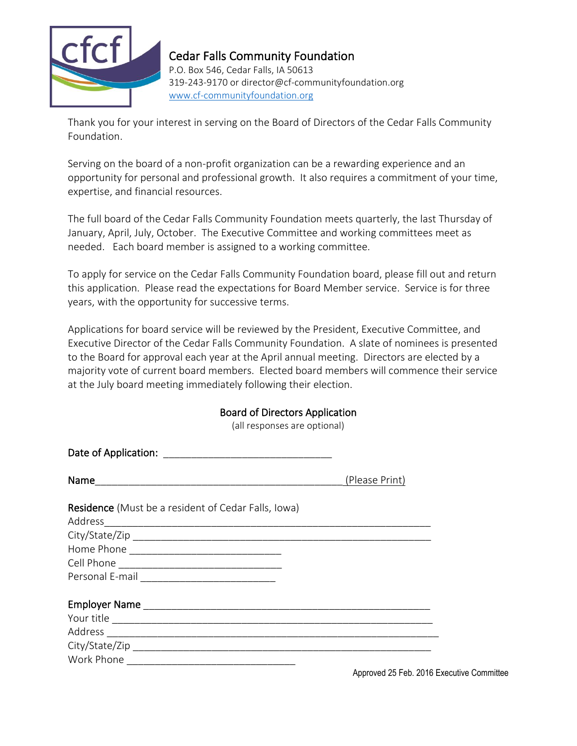

## Cedar Falls Community Foundation

P.O. Box 546, Cedar Falls, IA 50613 319-243-9170 or director@cf-communityfoundation.org [www.cf-communityfoundation.org](http://www.cf-communityfoundation.org/)

Thank you for your interest in serving on the Board of Directors of the Cedar Falls Community Foundation.

Serving on the board of a non-profit organization can be a rewarding experience and an opportunity for personal and professional growth. It also requires a commitment of your time, expertise, and financial resources.

The full board of the Cedar Falls Community Foundation meets quarterly, the last Thursday of January, April, July, October. The Executive Committee and working committees meet as needed. Each board member is assigned to a working committee.

To apply for service on the Cedar Falls Community Foundation board, please fill out and return this application. Please read the expectations for Board Member service. Service is for three years, with the opportunity for successive terms.

Applications for board service will be reviewed by the President, Executive Committee, and Executive Director of the Cedar Falls Community Foundation. A slate of nominees is presented to the Board for approval each year at the April annual meeting. Directors are elected by a majority vote of current board members. Elected board members will commence their service at the July board meeting immediately following their election.

## Board of Directors Application

(all responses are optional)

|                                                            | (Please Print) |
|------------------------------------------------------------|----------------|
| <b>Residence</b> (Must be a resident of Cedar Falls, Iowa) |                |
| Address                                                    |                |
|                                                            |                |
|                                                            |                |
|                                                            |                |
|                                                            |                |
|                                                            |                |
|                                                            |                |
|                                                            |                |
|                                                            |                |
| Work Phone                                                 |                |

Approved 25 Feb. 2016 Executive Committee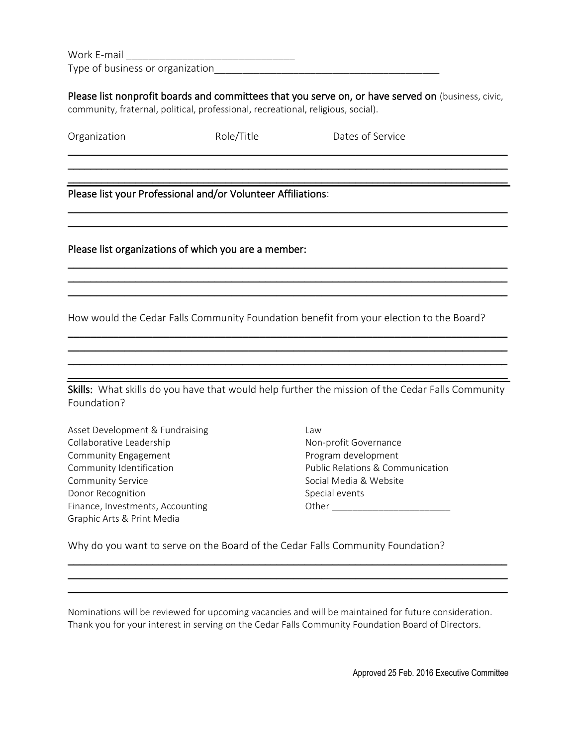Work E-mail

Type of business or organization\_\_\_\_\_\_\_\_\_\_\_\_\_\_\_\_\_\_\_\_\_\_\_\_\_\_\_\_\_\_\_\_\_\_\_\_\_\_\_\_

Please list nonprofit boards and committees that you serve on, or have served on (business, civic, community, fraternal, political, professional, recreational, religious, social).

\_\_\_\_\_\_\_\_\_\_\_\_\_\_\_\_\_\_\_\_\_\_\_\_\_\_\_\_\_\_\_\_\_\_\_\_\_\_\_\_\_\_\_\_\_\_\_\_\_\_\_\_\_\_\_\_\_\_\_\_\_\_\_\_\_\_\_\_\_\_\_\_\_\_\_\_\_\_ \_\_\_\_\_\_\_\_\_\_\_\_\_\_\_\_\_\_\_\_\_\_\_\_\_\_\_\_\_\_\_\_\_\_\_\_\_\_\_\_\_\_\_\_\_\_\_\_\_\_\_\_\_\_\_\_\_\_\_\_\_\_\_\_\_\_\_\_\_\_\_\_\_\_\_\_\_\_ \_\_\_\_\_\_\_\_\_\_\_\_\_\_\_\_\_\_\_\_\_\_\_\_\_\_\_\_\_\_\_\_\_\_\_\_\_\_\_\_\_\_\_\_\_\_\_\_\_\_\_\_\_\_\_\_\_\_\_\_\_\_\_\_\_\_\_\_\_\_\_\_\_\_\_\_\_\_

 $\_$  , and the contribution of the contribution of  $\mathcal{L}_\mathcal{A}$  , and the contribution of  $\mathcal{L}_\mathcal{A}$ \_\_\_\_\_\_\_\_\_\_\_\_\_\_\_\_\_\_\_\_\_\_\_\_\_\_\_\_\_\_\_\_\_\_\_\_\_\_\_\_\_\_\_\_\_\_\_\_\_\_\_\_\_\_\_\_\_\_\_\_\_\_\_\_\_\_\_\_\_\_\_\_\_\_\_\_\_\_

\_\_\_\_\_\_\_\_\_\_\_\_\_\_\_\_\_\_\_\_\_\_\_\_\_\_\_\_\_\_\_\_\_\_\_\_\_\_\_\_\_\_\_\_\_\_\_\_\_\_\_\_\_\_\_\_\_\_\_\_\_\_\_\_\_\_\_\_\_\_\_\_\_\_\_\_\_\_ \_\_\_\_\_\_\_\_\_\_\_\_\_\_\_\_\_\_\_\_\_\_\_\_\_\_\_\_\_\_\_\_\_\_\_\_\_\_\_\_\_\_\_\_\_\_\_\_\_\_\_\_\_\_\_\_\_\_\_\_\_\_\_\_\_\_\_\_\_\_\_\_\_\_\_\_\_\_ \_\_\_\_\_\_\_\_\_\_\_\_\_\_\_\_\_\_\_\_\_\_\_\_\_\_\_\_\_\_\_\_\_\_\_\_\_\_\_\_\_\_\_\_\_\_\_\_\_\_\_\_\_\_\_\_\_\_\_\_\_\_\_\_\_\_\_\_\_\_\_\_\_\_\_\_\_\_

\_\_\_\_\_\_\_\_\_\_\_\_\_\_\_\_\_\_\_\_\_\_\_\_\_\_\_\_\_\_\_\_\_\_\_\_\_\_\_\_\_\_\_\_\_\_\_\_\_\_\_\_\_\_\_\_\_\_\_\_\_\_\_\_\_\_\_\_\_\_\_\_\_\_\_\_\_\_  $\_$  , and the set of the set of the set of the set of the set of the set of the set of the set of the set of the set of the set of the set of the set of the set of the set of the set of the set of the set of the set of th  $\_$  , and the set of the set of the set of the set of the set of the set of the set of the set of the set of the set of the set of the set of the set of the set of the set of the set of the set of the set of the set of th  $\_$  , and the set of the set of the set of the set of the set of the set of the set of the set of the set of the set of the set of the set of the set of the set of the set of the set of the set of the set of the set of th

| Organization |
|--------------|
|              |

Role/Title **Dates of Service** 

Please list your Professional and/or Volunteer Affiliations:

Please list organizations of which you are a member:

How would the Cedar Falls Community Foundation benefit from your election to the Board?

Skills: What skills do you have that would help further the mission of the Cedar Falls Community Foundation?

Asset Development & Fundraising Collaborative Leadership Community Engagement Community Identification Community Service Donor Recognition Finance, Investments, Accounting Graphic Arts & Print Media

Law Non-profit Governance Program development Public Relations & Communication Social Media & Website Special events Other \_\_\_\_\_\_\_\_\_\_\_\_\_\_\_\_\_\_\_\_\_\_\_

Why do you want to serve on the Board of the Cedar Falls Community Foundation?

Nominations will be reviewed for upcoming vacancies and will be maintained for future consideration. Thank you for your interest in serving on the Cedar Falls Community Foundation Board of Directors.

\_\_\_\_\_\_\_\_\_\_\_\_\_\_\_\_\_\_\_\_\_\_\_\_\_\_\_\_\_\_\_\_\_\_\_\_\_\_\_\_\_\_\_\_\_\_\_\_\_\_\_\_\_\_\_\_\_\_\_\_\_\_\_\_\_\_\_\_\_\_\_\_\_\_\_\_\_\_  $\mathcal{L}_\mathcal{L} = \mathcal{L}_\mathcal{L} = \mathcal{L}_\mathcal{L} = \mathcal{L}_\mathcal{L} = \mathcal{L}_\mathcal{L} = \mathcal{L}_\mathcal{L} = \mathcal{L}_\mathcal{L} = \mathcal{L}_\mathcal{L} = \mathcal{L}_\mathcal{L} = \mathcal{L}_\mathcal{L} = \mathcal{L}_\mathcal{L} = \mathcal{L}_\mathcal{L} = \mathcal{L}_\mathcal{L} = \mathcal{L}_\mathcal{L} = \mathcal{L}_\mathcal{L} = \mathcal{L}_\mathcal{L} = \mathcal{L}_\mathcal{L}$ \_\_\_\_\_\_\_\_\_\_\_\_\_\_\_\_\_\_\_\_\_\_\_\_\_\_\_\_\_\_\_\_\_\_\_\_\_\_\_\_\_\_\_\_\_\_\_\_\_\_\_\_\_\_\_\_\_\_\_\_\_\_\_\_\_\_\_\_\_\_\_\_\_\_\_\_\_\_